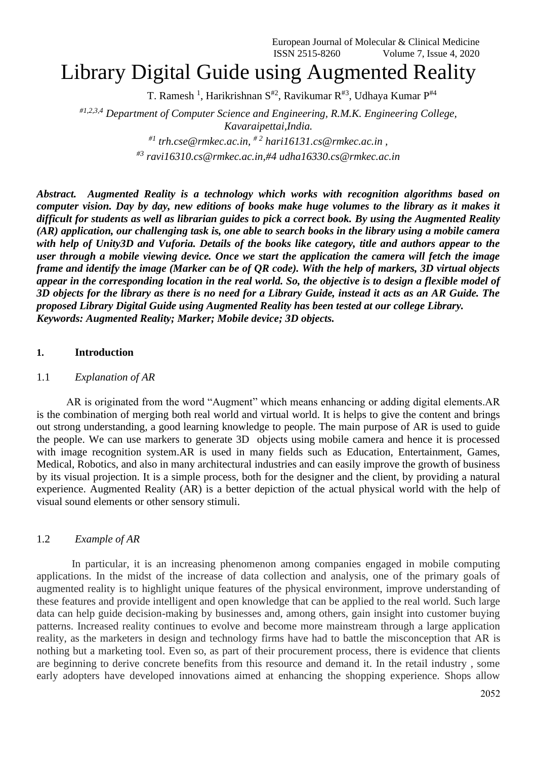# Library Digital Guide using Augmented Reality

T. Ramesh<sup>1</sup>, Harikrishnan S<sup>#2</sup>, Ravikumar R<sup>#3</sup>, Udhaya Kumar P<sup>#4</sup>

*#1,2,3,4 Department of Computer Science and Engineering, R.M.K. Engineering College, Kavaraipettai,India. #1 trh.cse@rmkec.ac.in, # <sup>2</sup> hari16131.cs@rmkec.ac.in ,*

*#3 ravi16310.cs@rmkec.ac.in,#4 udha16330.cs@rmkec.ac.in*

*Abstract. Augmented Reality is a technology which works with recognition algorithms based on computer vision. Day by day, new editions of books make huge volumes to the library as it makes it difficult for students as well as librarian guides to pick a correct book. By using the Augmented Reality (AR) application, our challenging task is, one able to search books in the library using a mobile camera with help of Unity3D and Vuforia. Details of the books like category, title and authors appear to the user through a mobile viewing device. Once we start the application the camera will fetch the image frame and identify the image (Marker can be of QR code). With the help of markers, 3D virtual objects appear in the corresponding location in the real world. So, the objective is to design a flexible model of 3D objects for the library as there is no need for a Library Guide, instead it acts as an AR Guide. The proposed Library Digital Guide using Augmented Reality has been tested at our college Library. Keywords: Augmented Reality; Marker; Mobile device; 3D objects.*

#### **1. Introduction**

#### 1.1 *Explanation of AR*

 AR is originated from the word "Augment" which means enhancing or adding digital elements.AR is the combination of merging both real world and virtual world. It is helps to give the content and brings out strong understanding, a good learning knowledge to people. The main purpose of AR is used to guide the people. We can use markers to generate 3D objects using mobile camera and hence it is processed with image recognition system.AR is used in many fields such as Education, Entertainment, Games, Medical, Robotics, and also in many architectural industries and can easily improve the growth of business by its visual projection. It is a simple process, both for the designer and the client, by providing a natural experience. Augmented Reality (AR) is a better depiction of the actual physical world with the help of visual sound elements or other sensory stimuli.

#### 1.2 *Example of AR*

 In particular, it is an increasing phenomenon among companies engaged in mobile computing applications. In the midst of the increase of data collection and analysis, one of the primary goals of augmented reality is to highlight unique features of the physical environment, improve understanding of these features and provide intelligent and open knowledge that can be applied to the real world. Such large data can help guide decision-making by businesses and, among others, gain insight into customer buying patterns. Increased reality continues to evolve and become more mainstream through a large application reality, as the marketers in design and technology firms have had to battle the misconception that AR is nothing but a marketing tool. Even so, as part of their procurement process, there is evidence that clients are beginning to derive concrete benefits from this resource and demand it. In the retail industry , some early adopters have developed innovations aimed at enhancing the shopping experience. Shops allow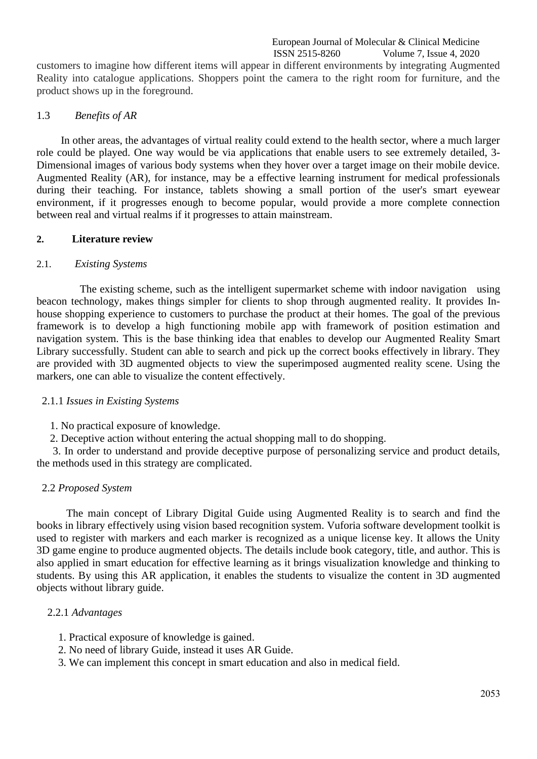customers to imagine how different items will appear in different environments by integrating Augmented Reality into catalogue applications. Shoppers point the camera to the right room for furniture, and the product shows up in the foreground.

#### 1.3 *Benefits of AR*

 In other areas, the advantages of virtual reality could extend to the health sector, where a much larger role could be played. One way would be via applications that enable users to see extremely detailed, 3- Dimensional images of various body systems when they hover over a target image on their mobile device. Augmented Reality (AR), for instance, may be a effective learning instrument for medical professionals during their teaching. For instance, tablets showing a small portion of the user's smart eyewear environment, if it progresses enough to become popular, would provide a more complete connection between real and virtual realms if it progresses to attain mainstream.

#### **2. Literature review**

#### 2.1. *Existing Systems*

 The existing scheme, such as the intelligent supermarket scheme with indoor navigation using beacon technology, makes things simpler for clients to shop through augmented reality. It provides Inhouse shopping experience to customers to purchase the product at their homes. The goal of the previous framework is to develop a high functioning mobile app with framework of position estimation and navigation system. This is the base thinking idea that enables to develop our Augmented Reality Smart Library successfully. Student can able to search and pick up the correct books effectively in library. They are provided with 3D augmented objects to view the superimposed augmented reality scene. Using the markers, one can able to visualize the content effectively.

#### 2.1.1 *Issues in Existing Systems*

1. No practical exposure of knowledge.

2. Deceptive action without entering the actual shopping mall to do shopping.

 3. In order to understand and provide deceptive purpose of personalizing service and product details, the methods used in this strategy are complicated.

## 2.2 *Proposed System*

 The main concept of Library Digital Guide using Augmented Reality is to search and find the books in library effectively using vision based recognition system. Vuforia software development toolkit is used to register with markers and each marker is recognized as a unique license key. It allows the Unity 3D game engine to produce augmented objects. The details include book category, title, and author. This is also applied in smart education for effective learning as it brings visualization knowledge and thinking to students. By using this AR application, it enables the students to visualize the content in 3D augmented objects without library guide.

## 2.2.1 *Advantages*

- 1. Practical exposure of knowledge is gained.
- 2. No need of library Guide, instead it uses AR Guide.
- 3. We can implement this concept in smart education and also in medical field.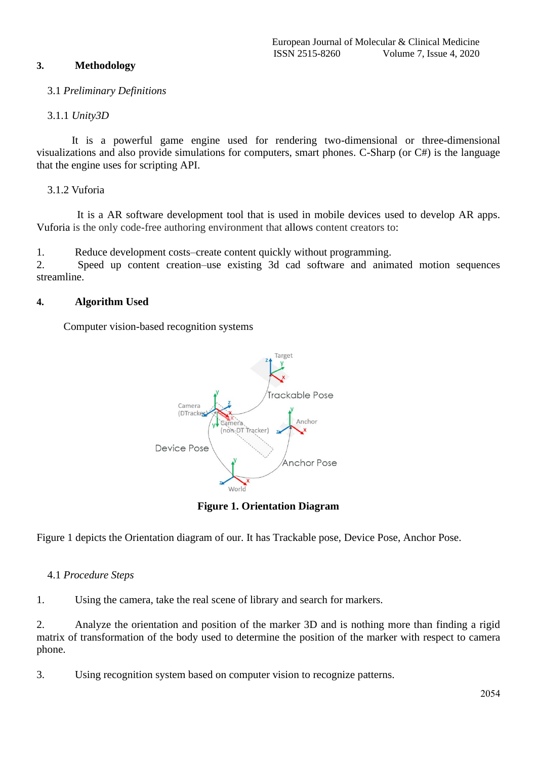# **3. Methodology**

# 3.1 *Preliminary Definitions*

# 3.1.1 *Unity3D*

 It is a powerful game engine used for rendering two-dimensional or three-dimensional visualizations and also provide simulations for computers, smart phones. C-Sharp (or C#) is the language that the engine uses for scripting API.

# 3.1.2 Vuforia

 It is a AR software development tool that is used in mobile devices used to develop AR apps. Vuforia is the only code-free authoring environment that allows content creators to:

1. Reduce development costs–create content quickly without programming.

2. Speed up content creation–use existing 3d cad software and animated motion sequences streamline.

# **4. Algorithm Used**

Computer vision-based recognition systems



**Figure 1. Orientation Diagram**

Figure 1 depicts the Orientation diagram of our. It has Trackable pose, Device Pose, Anchor Pose.

## 4.1 *Procedure Steps*

1. Using the camera, take the real scene of library and search for markers.

2. Analyze the orientation and position of the marker 3D and is nothing more than finding a rigid matrix of transformation of the body used to determine the position of the marker with respect to camera phone.

3. Using recognition system based on computer vision to recognize patterns.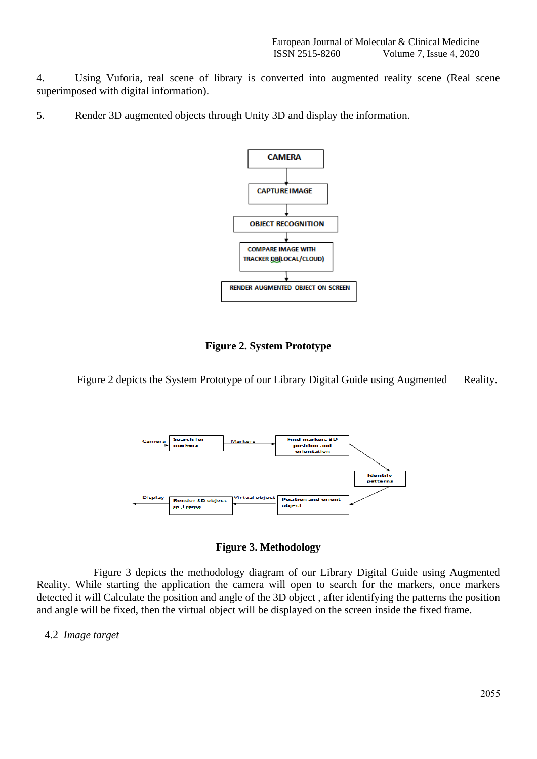4. Using Vuforia, real scene of library is converted into augmented reality scene (Real scene superimposed with digital information).

5. Render 3D augmented objects through Unity 3D and display the information.





Figure 2 depicts the System Prototype of our Library Digital Guide using Augmented Reality.



**Figure 3. Methodology**

 Figure 3 depicts the methodology diagram of our Library Digital Guide using Augmented Reality. While starting the application the camera will open to search for the markers, once markers detected it will Calculate the position and angle of the 3D object , after identifying the patterns the position and angle will be fixed, then the virtual object will be displayed on the screen inside the fixed frame.

4.2 *Image target*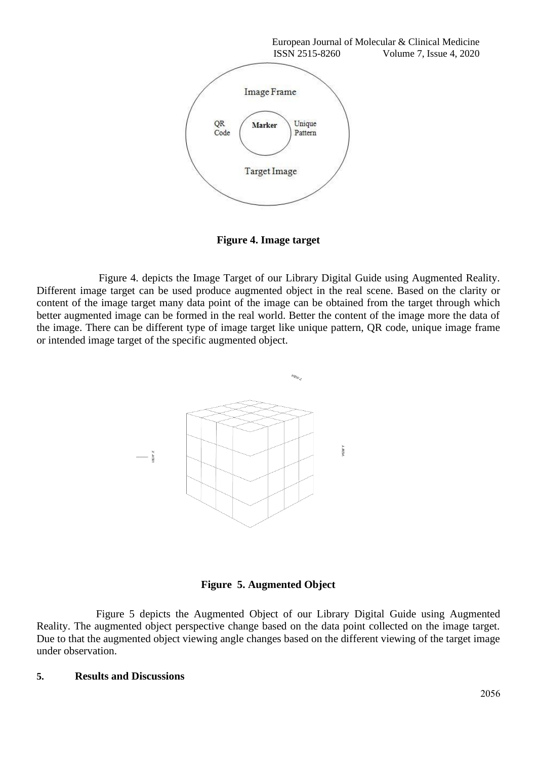

**Figure 4. Image target**

 Figure 4. depicts the Image Target of our Library Digital Guide using Augmented Reality. Different image target can be used produce augmented object in the real scene. Based on the clarity or content of the image target many data point of the image can be obtained from the target through which better augmented image can be formed in the real world. Better the content of the image more the data of the image. There can be different type of image target like unique pattern, QR code, unique image frame or intended image target of the specific augmented object.



# **Figure 5. Augmented Object**

 Figure 5 depicts the Augmented Object of our Library Digital Guide using Augmented Reality. The augmented object perspective change based on the data point collected on the image target. Due to that the augmented object viewing angle changes based on the different viewing of the target image under observation.

## **5. Results and Discussions**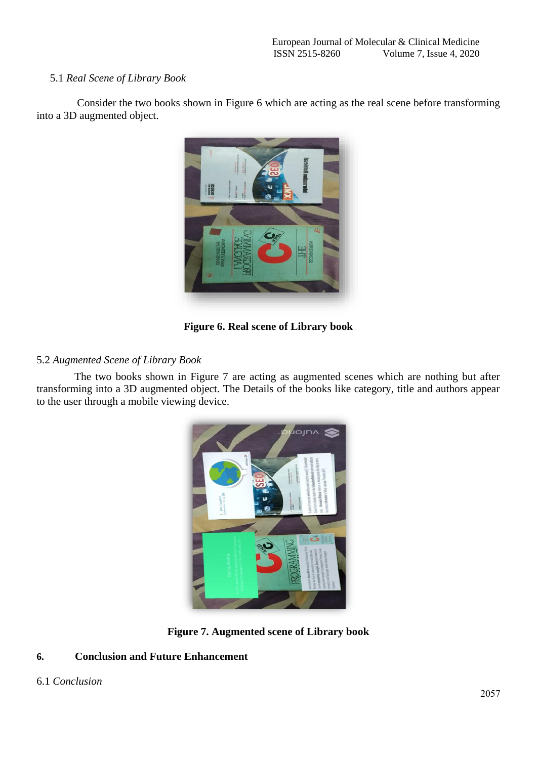## 5.1 *Real Scene of Library Book*

 Consider the two books shown in Figure 6 which are acting as the real scene before transforming into a 3D augmented object.



**Figure 6. Real scene of Library book**

# 5.2 *Augmented Scene of Library Book*

The two books shown in Figure 7 are acting as augmented scenes which are nothing but after transforming into a 3D augmented object. The Details of the books like category, title and authors appear to the user through a mobile viewing device.



**Figure 7. Augmented scene of Library book**

# **6. Conclusion and Future Enhancement**

## 6.1 *Conclusion*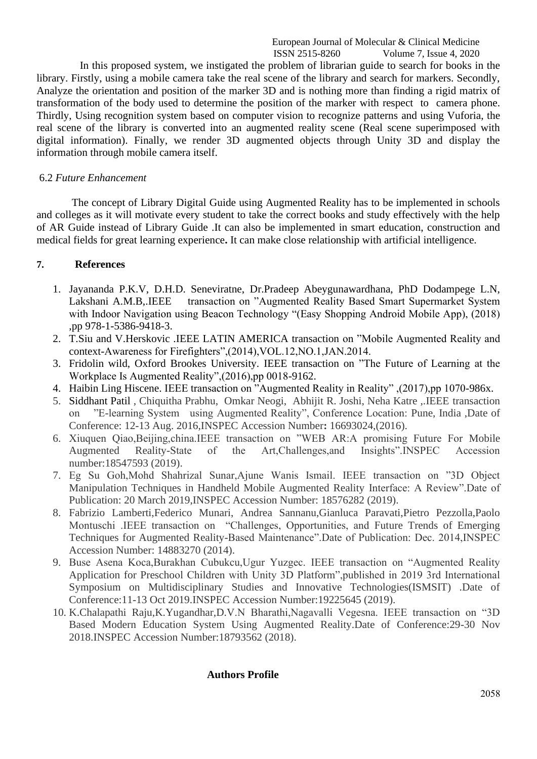European Journal of Molecular & Clinical Medicine<br>ISSN 2515-8260 Volume 7, Issue 4, 2020 Volume 7, Issue 4, 2020

 In this proposed system, we instigated the problem of librarian guide to search for books in the library. Firstly, using a mobile camera take the real scene of the library and search for markers. Secondly, Analyze the orientation and position of the marker 3D and is nothing more than finding a rigid matrix of transformation of the body used to determine the position of the marker with respect to camera phone. Thirdly, Using recognition system based on computer vision to recognize patterns and using Vuforia, the real scene of the library is converted into an augmented reality scene (Real scene superimposed with digital information). Finally, we render 3D augmented objects through Unity 3D and display the information through mobile camera itself.

#### 6.2 *Future Enhancement*

 The concept of Library Digital Guide using Augmented Reality has to be implemented in schools and colleges as it will motivate every student to take the correct books and study effectively with the help of AR Guide instead of Library Guide .It can also be implemented in smart education, construction and medical fields for great learning experience**.** It can make close relationship with artificial intelligence.

## **7. References**

- 1. Jayananda P.K.V, D.H.D. Seneviratne, Dr.Pradeep Abeygunawardhana, PhD Dodampege L.N, Lakshani A.M.B, IEEE transaction on "Augmented Reality Based Smart Supermarket System with Indoor Navigation using Beacon Technology "(Easy Shopping Android Mobile App), (2018) ,pp 978-1-5386-9418-3.
- 2. T.Siu and V.Herskovic .IEEE LATIN AMERICA transaction on "Mobile Augmented Reality and context-Awareness for Firefighters",(2014),VOL.12,NO.1,JAN.2014.
- 3. Fridolin wild, Oxford Brookes University. IEEE transaction on "The Future of Learning at the Workplace Is Augmented Reality",(2016),pp 0018-9162.
- 4. Haibin Ling Hiscene. IEEE transaction on "Augmented Reality in Reality" ,(2017),pp 1070-986x.
- 5. Siddhant Pati[l](https://ieeexplore.ieee.org/author/37086181603) , Chiquitha Prabhu, Omkar Neogi, Abhijit R. Joshi, Neha Katre ,.IEEE transaction on "E-learning System using Augmented Reality", Conference Location: Pune, India ,Date of Conference: 12-13 Aug. 2016,INSPEC Accession Number**:** 16693024,(2016).
- 6. Xiuquen Qiao,Beijing,china.IEEE transaction on "WEB AR:A promising Future For Mobile Augmented Reality-State of the Art,Challenges,and Insights".INSPEC Accession number:18547593 (2019).
- 7. Eg Su Goh,Mohd Shahrizal Sunar,Ajune Wanis Ismail. IEEE transaction on "3D Object Manipulation Techniques in Handheld Mobile Augmented Reality Interface: A Review".Date of Publication: 20 March 2019,INSPEC Accession Number: 18576282 (2019).
- 8. Fabrizio Lamberti,Federico Munari, Andrea Sannanu,Gianluca Paravati,Pietro Pezzolla,Paolo Montuschi .IEEE transaction on "Challenges, Opportunities, and Future Trends of Emerging Techniques for Augmented Reality-Based Maintenance".Date of Publication: Dec. 2014,INSPEC Accession Number: 14883270 (2014).
- 9. Buse Asena Koca,Burakhan Cubukcu,Ugur Yuzgec. IEEE transaction on "Augmented Reality Application for Preschool Children with Unity 3D Platform",published in 2019 3rd International Symposium on Multidisciplinary Studies and Innovative Technologies(ISMSIT) .Date of Conference:11-13 Oct 2019.INSPEC Accession Number:19225645 (2019).
- 10. K.Chalapathi Raju,K.Yugandhar,D.V.N Bharathi,Nagavalli Vegesna. IEEE transaction on "3D Based Modern Education System Using Augmented Reality.Date of Conference:29-30 Nov 2018.INSPEC Accession Number:18793562 (2018).